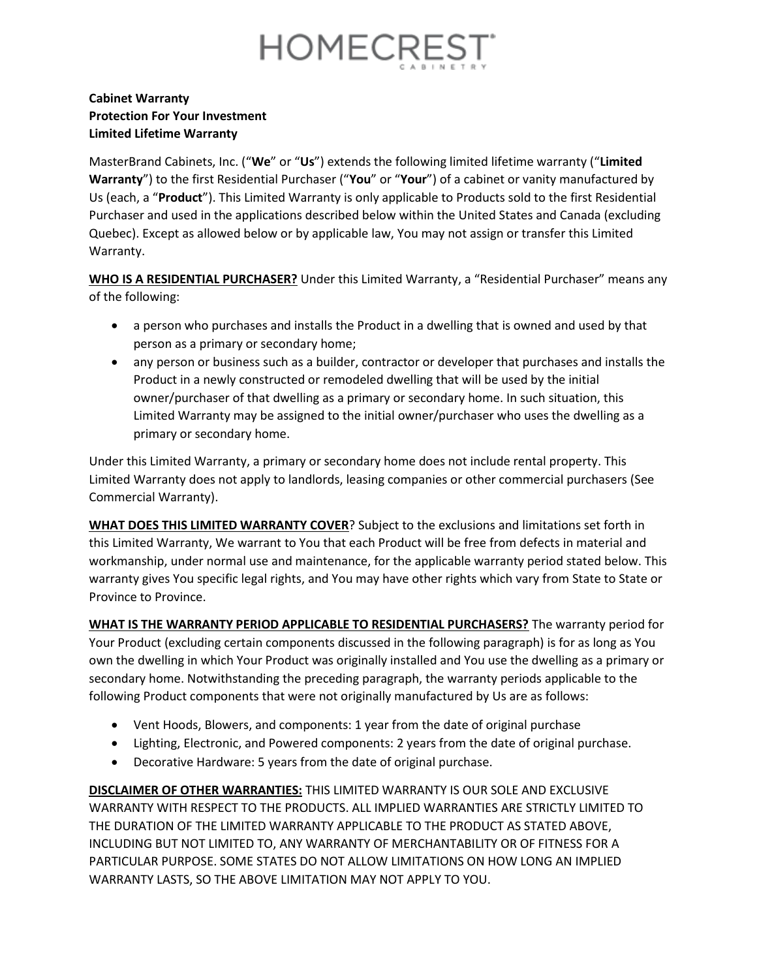

## **Cabinet Warranty Protection For Your Investment Limited Lifetime Warranty**

MasterBrand Cabinets, Inc. ("**We**" or "**Us**") extends the following limited lifetime warranty ("**Limited Warranty**") to the first Residential Purchaser ("**You**" or "**Your**") of a cabinet or vanity manufactured by Us (each, a "**Product**"). This Limited Warranty is only applicable to Products sold to the first Residential Purchaser and used in the applications described below within the United States and Canada (excluding Quebec). Except as allowed below or by applicable law, You may not assign or transfer this Limited Warranty.

**WHO IS A RESIDENTIAL PURCHASER?** Under this Limited Warranty, a "Residential Purchaser" means any of the following:

- a person who purchases and installs the Product in a dwelling that is owned and used by that person as a primary or secondary home;
- any person or business such as a builder, contractor or developer that purchases and installs the Product in a newly constructed or remodeled dwelling that will be used by the initial owner/purchaser of that dwelling as a primary or secondary home. In such situation, this Limited Warranty may be assigned to the initial owner/purchaser who uses the dwelling as a primary or secondary home.

Under this Limited Warranty, a primary or secondary home does not include rental property. This Limited Warranty does not apply to landlords, leasing companies or other commercial purchasers (See Commercial Warranty).

**WHAT DOES THIS LIMITED WARRANTY COVER**? Subject to the exclusions and limitations set forth in this Limited Warranty, We warrant to You that each Product will be free from defects in material and workmanship, under normal use and maintenance, for the applicable warranty period stated below. This warranty gives You specific legal rights, and You may have other rights which vary from State to State or Province to Province.

**WHAT IS THE WARRANTY PERIOD APPLICABLE TO RESIDENTIAL PURCHASERS?** The warranty period for Your Product (excluding certain components discussed in the following paragraph) is for as long as You own the dwelling in which Your Product was originally installed and You use the dwelling as a primary or secondary home. Notwithstanding the preceding paragraph, the warranty periods applicable to the following Product components that were not originally manufactured by Us are as follows:

- Vent Hoods, Blowers, and components: 1 year from the date of original purchase
- Lighting, Electronic, and Powered components: 2 years from the date of original purchase.
- Decorative Hardware: 5 years from the date of original purchase.

**DISCLAIMER OF OTHER WARRANTIES:** THIS LIMITED WARRANTY IS OUR SOLE AND EXCLUSIVE WARRANTY WITH RESPECT TO THE PRODUCTS. ALL IMPLIED WARRANTIES ARE STRICTLY LIMITED TO THE DURATION OF THE LIMITED WARRANTY APPLICABLE TO THE PRODUCT AS STATED ABOVE, INCLUDING BUT NOT LIMITED TO, ANY WARRANTY OF MERCHANTABILITY OR OF FITNESS FOR A PARTICULAR PURPOSE. SOME STATES DO NOT ALLOW LIMITATIONS ON HOW LONG AN IMPLIED WARRANTY LASTS, SO THE ABOVE LIMITATION MAY NOT APPLY TO YOU.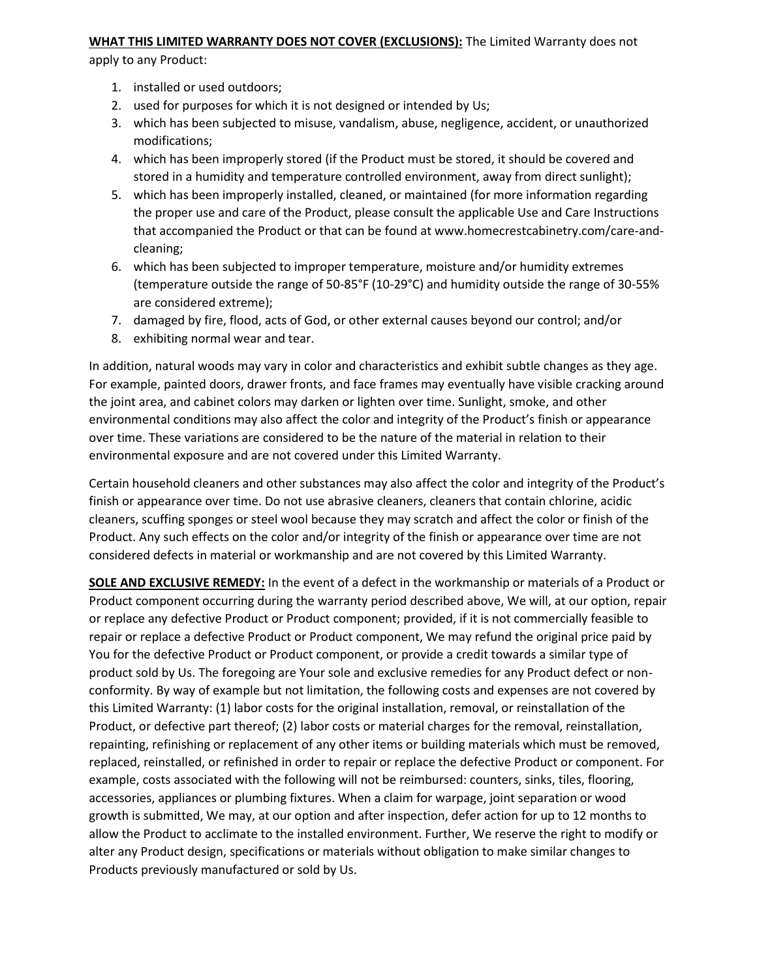## **WHAT THIS LIMITED WARRANTY DOES NOT COVER (EXCLUSIONS):** The Limited Warranty does not

apply to any Product:

- 1. installed or used outdoors;
- 2. used for purposes for which it is not designed or intended by Us;
- 3. which has been subjected to misuse, vandalism, abuse, negligence, accident, or unauthorized modifications;
- 4. which has been improperly stored (if the Product must be stored, it should be covered and stored in a humidity and temperature controlled environment, away from direct sunlight);
- 5. which has been improperly installed, cleaned, or maintained (for more information regarding the proper use and care of the Product, please consult the applicable Use and Care Instructions that accompanied the Product or that can be found at www.homecrestcabinetry.com/care-andcleaning;
- 6. which has been subjected to improper temperature, moisture and/or humidity extremes (temperature outside the range of 50-85°F (10-29°C) and humidity outside the range of 30-55% are considered extreme);
- 7. damaged by fire, flood, acts of God, or other external causes beyond our control; and/or
- 8. exhibiting normal wear and tear.

In addition, natural woods may vary in color and characteristics and exhibit subtle changes as they age. For example, painted doors, drawer fronts, and face frames may eventually have visible cracking around the joint area, and cabinet colors may darken or lighten over time. Sunlight, smoke, and other environmental conditions may also affect the color and integrity of the Product's finish or appearance over time. These variations are considered to be the nature of the material in relation to their environmental exposure and are not covered under this Limited Warranty.

Certain household cleaners and other substances may also affect the color and integrity of the Product's finish or appearance over time. Do not use abrasive cleaners, cleaners that contain chlorine, acidic cleaners, scuffing sponges or steel wool because they may scratch and affect the color or finish of the Product. Any such effects on the color and/or integrity of the finish or appearance over time are not considered defects in material or workmanship and are not covered by this Limited Warranty.

**SOLE AND EXCLUSIVE REMEDY:** In the event of a defect in the workmanship or materials of a Product or Product component occurring during the warranty period described above, We will, at our option, repair or replace any defective Product or Product component; provided, if it is not commercially feasible to repair or replace a defective Product or Product component, We may refund the original price paid by You for the defective Product or Product component, or provide a credit towards a similar type of product sold by Us. The foregoing are Your sole and exclusive remedies for any Product defect or nonconformity. By way of example but not limitation, the following costs and expenses are not covered by this Limited Warranty: (1) labor costs for the original installation, removal, or reinstallation of the Product, or defective part thereof; (2) labor costs or material charges for the removal, reinstallation, repainting, refinishing or replacement of any other items or building materials which must be removed, replaced, reinstalled, or refinished in order to repair or replace the defective Product or component. For example, costs associated with the following will not be reimbursed: counters, sinks, tiles, flooring, accessories, appliances or plumbing fixtures. When a claim for warpage, joint separation or wood growth is submitted, We may, at our option and after inspection, defer action for up to 12 months to allow the Product to acclimate to the installed environment. Further, We reserve the right to modify or alter any Product design, specifications or materials without obligation to make similar changes to Products previously manufactured or sold by Us.